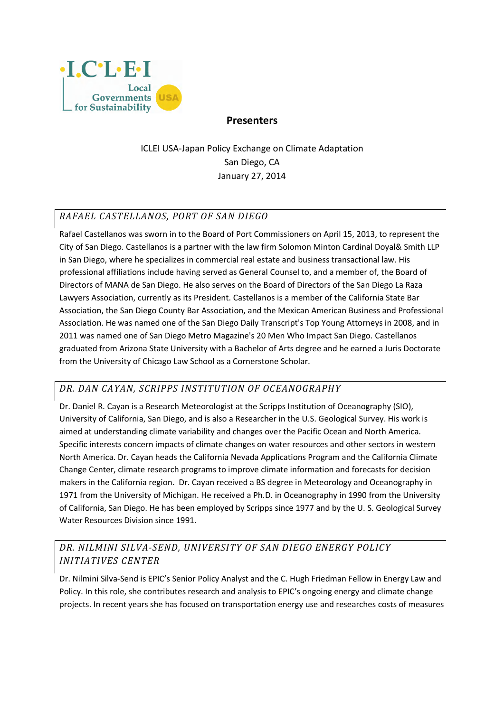

#### **Presenters**

ICLEI USA-Japan Policy Exchange on Climate Adaptation San Diego, CA January 27, 2014

#### *RAFAEL CASTELLANOS, PORT OF SAN DIEGO*

Rafael Castellanos was sworn in to the Board of Port Commissioners on April 15, 2013, to represent the City of San Diego. Castellanos is a partner with the law firm Solomon Minton Cardinal Doyal& Smith LLP in San Diego, where he specializes in commercial real estate and business transactional law. His professional affiliations include having served as General Counsel to, and a member of, the Board of Directors of MANA de San Diego. He also serves on the Board of Directors of the San Diego La Raza Lawyers Association, currently as its President. Castellanos is a member of the California State Bar Association, the San Diego County Bar Association, and the Mexican American Business and Professional Association. He was named one of the San Diego Daily Transcript's Top Young Attorneys in 2008, and in 2011 was named one of San Diego Metro Magazine's 20 Men Who Impact San Diego. Castellanos graduated from Arizona State University with a Bachelor of Arts degree and he earned a Juris Doctorate from the University of Chicago Law School as a Cornerstone Scholar.

### *DR. DAN CAYAN, SCRIPPS INSTITUTION OF OCEANOGRAPHY*

Dr. Daniel R. Cayan is a Research Meteorologist at the Scripps Institution of Oceanography (SIO), University of California, San Diego, and is also a Researcher in the U.S. Geological Survey. His work is aimed at understanding climate variability and changes over the Pacific Ocean and North America. Specific interests concern impacts of climate changes on water resources and other sectors in western North America. Dr. Cayan heads the California Nevada Applications Program and the California Climate Change Center, climate research programs to improve climate information and forecasts for decision makers in the California region. Dr. Cayan received a BS degree in Meteorology and Oceanography in 1971 from the University of Michigan. He received a Ph.D. in Oceanography in 1990 from the University of California, San Diego. He has been employed by Scripps since 1977 and by the U. S. Geological Survey Water Resources Division since 1991.

## *DR. NILMINI SILVA-SEND, UNIVERSITY OF SAN DIEGO ENERGY POLICY INITIATIVES CENTER*

Dr. Nilmini Silva-Send is EPIC's Senior Policy Analyst and the C. Hugh Friedman Fellow in Energy Law and Policy. In this role, she contributes research and analysis to EPIC's ongoing energy and climate change projects. In recent years she has focused on transportation energy use and researches costs of measures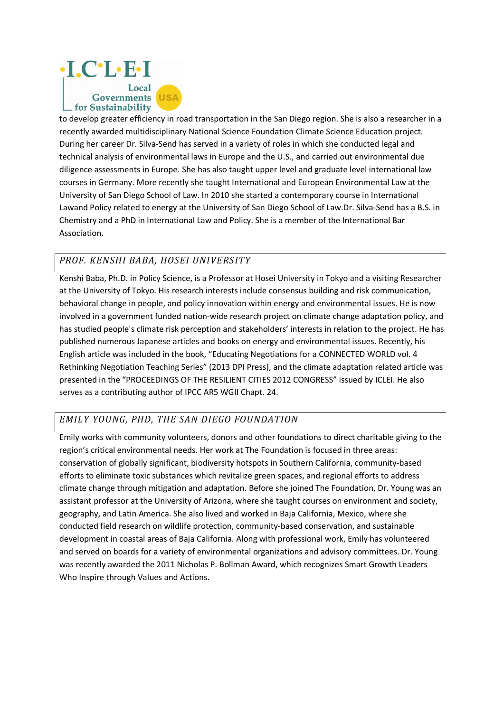

to develop greater efficiency in road transportation in the San Diego region. She is also a researcher in a recently awarded multidisciplinary National Science Foundation Climate Science Education project. During her career Dr. Silva-Send has served in a variety of roles in which she conducted legal and technical analysis of environmental laws in Europe and the U.S., and carried out environmental due diligence assessments in Europe. She has also taught upper level and graduate level international law courses in Germany. More recently she taught International and European Environmental Law at the University of San Diego School of Law. In 2010 she started a contemporary course in International Lawand Policy related to energy at the University of San Diego School of Law.Dr. Silva-Send has a B.S. in Chemistry and a PhD in International Law and Policy. She is a member of the International Bar Association.

### *PROF. KENSHI BABA, HOSEI UNIVERSITY*

Kenshi Baba, Ph.D. in Policy Science, is a Professor at Hosei University in Tokyo and a visiting Researcher at the University of Tokyo. His research interests include consensus building and risk communication, behavioral change in people, and policy innovation within energy and environmental issues. He is now involved in a government funded nation-wide research project on climate change adaptation policy, and has studied people's climate risk perception and stakeholders' interests in relation to the project. He has published numerous Japanese articles and books on energy and environmental issues. Recently, his English article was included in the book, "Educating Negotiations for a CONNECTED WORLD vol. 4 Rethinking Negotiation Teaching Series" (2013 DPI Press), and the climate adaptation related article was presented in the "PROCEEDINGS OF THE RESILIENT CITIES 2012 CONGRESS" issued by ICLEI. He also serves as a contributing author of IPCC AR5 WGII Chapt. 24.

#### *EMILY YOUNG, PHD, THE SAN DIEGO FOUNDATION*

Emily works with community volunteers, donors and other foundations to direct charitable giving to the region's critical environmental needs. Her work at The Foundation is focused in three areas: conservation of globally significant, biodiversity hotspots in Southern California, community-based efforts to eliminate toxic substances which revitalize green spaces, and regional efforts to address climate change through mitigation and adaptation. Before she joined The Foundation, Dr. Young was an assistant professor at the University of Arizona, where she taught courses on environment and society, geography, and Latin America. She also lived and worked in Baja California, Mexico, where she conducted field research on wildlife protection, community-based conservation, and sustainable development in coastal areas of Baja California. Along with professional work, Emily has volunteered and served on boards for a variety of environmental organizations and advisory committees. Dr. Young was recently awarded the 2011 Nicholas P. Bollman Award, which recognizes Smart Growth Leaders Who Inspire through Values and Actions.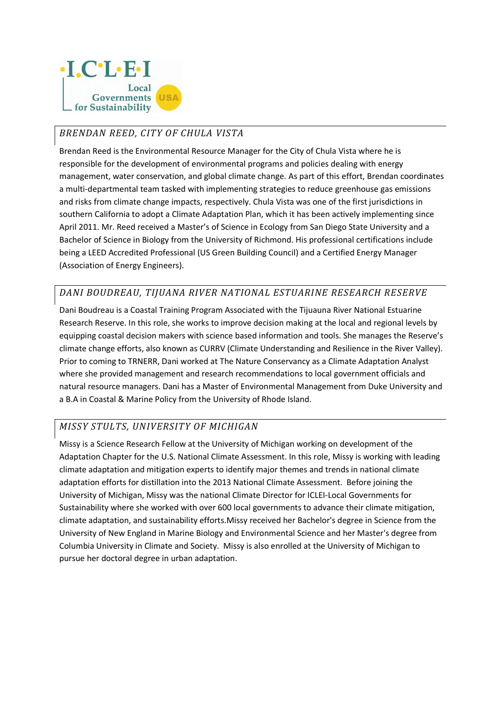

# *BRENDAN REED, CITY OF CHULA VISTA*

Brendan Reed is the Environmental Resource Manager for the City of Chula Vista where he is responsible for the development of environmental programs and policies dealing with energy management, water conservation, and global climate change. As part of this effort, Brendan coordinates a multi-departmental team tasked with implementing strategies to reduce greenhouse gas emissions and risks from climate change impacts, respectively. Chula Vista was one of the first jurisdictions in southern California to adopt a Climate Adaptation Plan, which it has been actively implementing since April 2011. Mr. Reed received a Master's of Science in Ecology from San Diego State University and a Bachelor of Science in Biology from the University of Richmond. His professional certifications include being a LEED Accredited Professional (US Green Building Council) and a Certified Energy Manager (Association of Energy Engineers).

### *DANI BOUDREAU, TIJUANA RIVER NATIONAL ESTUARINE RESEARCH RESERVE*

Dani Boudreau is a Coastal Training Program Associated with the Tijuauna River National Estuarine Research Reserve. In this role, she works to improve decision making at the local and regional levels by equipping coastal decision makers with science based information and tools. She manages the Reserve's climate change efforts, also known as CURRV (Climate Understanding and Resilience in the River Valley). Prior to coming to TRNERR, Dani worked at The Nature Conservancy as a Climate Adaptation Analyst where she provided management and research recommendations to local government officials and natural resource managers. Dani has a Master of Environmental Management from Duke University and a B.A in Coastal & Marine Policy from the University of Rhode Island.

### *MISSY STULTS, UNIVERSITY OF MICHIGAN*

Missy is a Science Research Fellow at the University of Michigan working on development of the Adaptation Chapter for the U.S. National Climate Assessment. In this role, Missy is working with leading climate adaptation and mitigation experts to identify major themes and trends in national climate adaptation efforts for distillation into the 2013 National Climate Assessment. Before joining the University of Michigan, Missy was the national Climate Director for ICLEI-Local Governments for Sustainability where she worked with over 600 local governments to advance their climate mitigation, climate adaptation, and sustainability efforts.Missy received her Bachelor's degree in Science from the University of New England in Marine Biology and Environmental Science and her Master's degree from Columbia University in Climate and Society. Missy is also enrolled at the University of Michigan to pursue her doctoral degree in urban adaptation.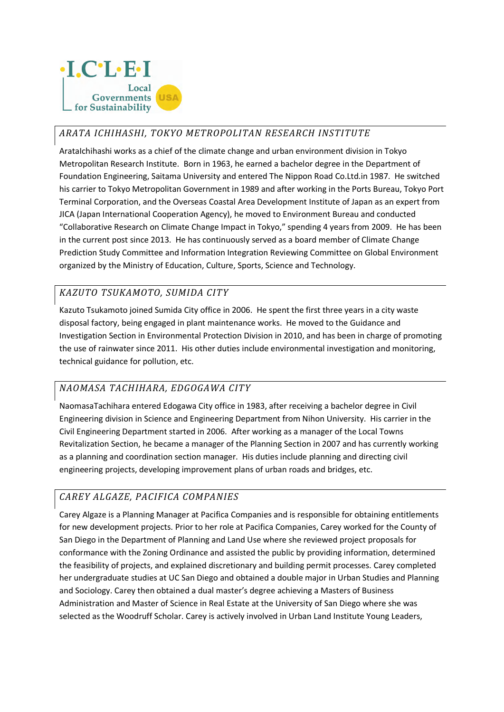

## *ARATA ICHIHASHI, TOKYO METROPOLITAN RESEARCH INSTITUTE*

ArataIchihashi works as a chief of the climate change and urban environment division in Tokyo Metropolitan Research Institute. Born in 1963, he earned a bachelor degree in the Department of Foundation Engineering, Saitama University and entered The Nippon Road Co.Ltd.in 1987. He switched his carrier to Tokyo Metropolitan Government in 1989 and after working in the Ports Bureau, Tokyo Port Terminal Corporation, and the Overseas Coastal Area Development Institute of Japan as an expert from JICA (Japan International Cooperation Agency), he moved to Environment Bureau and conducted "Collaborative Research on Climate Change Impact in Tokyo," spending 4 years from 2009. He has been in the current post since 2013. He has continuously served as a board member of Climate Change Prediction Study Committee and Information Integration Reviewing Committee on Global Environment organized by the Ministry of Education, Culture, Sports, Science and Technology.

### *KAZUTO TSUKAMOTO, SUMIDA CITY*

Kazuto Tsukamoto joined Sumida City office in 2006. He spent the first three years in a city waste disposal factory, being engaged in plant maintenance works. He moved to the Guidance and Investigation Section in Environmental Protection Division in 2010, and has been in charge of promoting the use of rainwater since 2011. His other duties include environmental investigation and monitoring, technical guidance for pollution, etc.

### *NAOMASA TACHIHARA, EDGOGAWA CITY*

NaomasaTachihara entered Edogawa City office in 1983, after receiving a bachelor degree in Civil Engineering division in Science and Engineering Department from Nihon University. His carrier in the Civil Engineering Department started in 2006. After working as a manager of the Local Towns Revitalization Section, he became a manager of the Planning Section in 2007 and has currently working as a planning and coordination section manager. His duties include planning and directing civil engineering projects, developing improvement plans of urban roads and bridges, etc.

### *CAREY ALGAZE, PACIFICA COMPANIES*

Carey Algaze is a Planning Manager at Pacifica Companies and is responsible for obtaining entitlements for new development projects. Prior to her role at Pacifica Companies, Carey worked for the County of San Diego in the Department of Planning and Land Use where she reviewed project proposals for conformance with the Zoning Ordinance and assisted the public by providing information, determined the feasibility of projects, and explained discretionary and building permit processes. Carey completed her undergraduate studies at UC San Diego and obtained a double major in Urban Studies and Planning and Sociology. Carey then obtained a dual master's degree achieving a Masters of Business Administration and Master of Science in Real Estate at the University of San Diego where she was selected as the Woodruff Scholar. Carey is actively involved in Urban Land Institute Young Leaders,